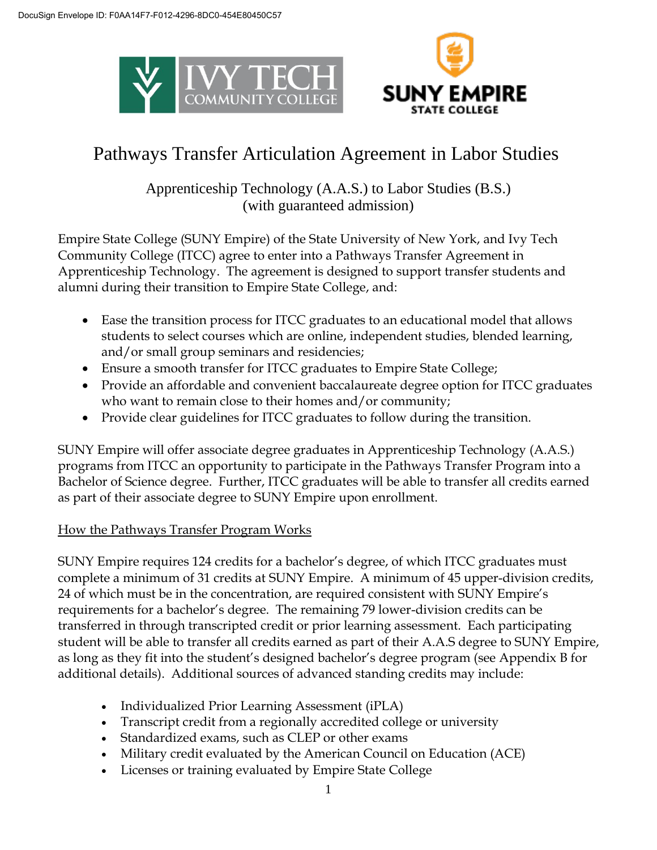



# Pathways Transfer Articulation Agreement in Labor Studies

Apprenticeship Technology (A.A.S.) to Labor Studies (B.S.) (with guaranteed admission)

Empire State College (SUNY Empire) of the State University of New York, and Ivy Tech Community College (ITCC) agree to enter into a Pathways Transfer Agreement in Apprenticeship Technology. The agreement is designed to support transfer students and alumni during their transition to Empire State College, and:

- Ease the transition process for ITCC graduates to an educational model that allows students to select courses which are online, independent studies, blended learning, and/or small group seminars and residencies;
- Ensure a smooth transfer for ITCC graduates to Empire State College;
- Provide an affordable and convenient baccalaureate degree option for ITCC graduates who want to remain close to their homes and/or community;
- Provide clear guidelines for ITCC graduates to follow during the transition.

SUNY Empire will offer associate degree graduates in Apprenticeship Technology (A.A.S.) programs from ITCC an opportunity to participate in the Pathways Transfer Program into a Bachelor of Science degree. Further, ITCC graduates will be able to transfer all credits earned as part of their associate degree to SUNY Empire upon enrollment.

# How the Pathways Transfer Program Works

SUNY Empire requires 124 credits for a bachelor's degree, of which ITCC graduates must complete a minimum of 31 credits at SUNY Empire. A minimum of 45 upper-division credits, 24 of which must be in the concentration, are required consistent with SUNY Empire's requirements for a bachelor's degree. The remaining 79 lower-division credits can be transferred in through transcripted credit or prior learning assessment. Each participating student will be able to transfer all credits earned as part of their A.A.S degree to SUNY Empire, as long as they fit into the student's designed bachelor's degree program (see Appendix B for additional details). Additional sources of advanced standing credits may include:

- Individualized Prior Learning Assessment (iPLA)
- Transcript credit from a regionally accredited college or university
- Standardized exams, such as CLEP or other exams
- Military credit evaluated by the American Council on Education (ACE)
- Licenses or training evaluated by Empire State College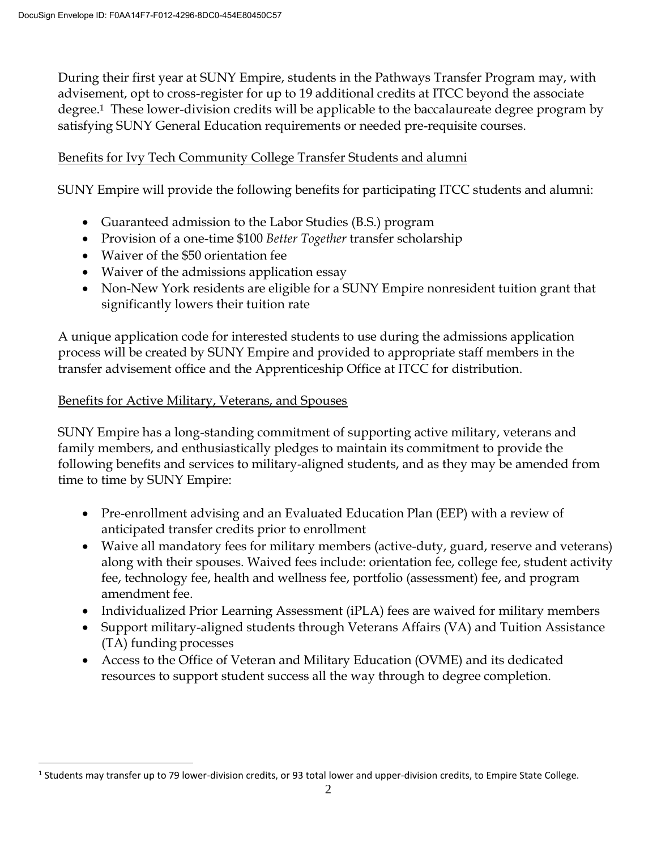During their first year at SUNY Empire, students in the Pathways Transfer Program may, with advisement, opt to cross-register for up to 19 additional credits at ITCC beyond the associate degree.1 These lower-division credits will be applicable to the baccalaureate degree program by satisfying SUNY General Education requirements or needed pre-requisite courses.

# Benefits for Ivy Tech Community College Transfer Students and alumni

SUNY Empire will provide the following benefits for participating ITCC students and alumni:

- Guaranteed admission to the Labor Studies (B.S.) program
- Provision of a one-time \$100 *Better Together* transfer scholarship
- Waiver of the \$50 orientation fee
- Waiver of the admissions application essay
- Non-New York residents are eligible for a SUNY Empire nonresident tuition grant that significantly lowers their tuition rate

A unique application code for interested students to use during the admissions application process will be created by SUNY Empire and provided to appropriate staff members in the transfer advisement office and the Apprenticeship Office at ITCC for distribution.

### Benefits for Active Military, Veterans, and Spouses

 $\overline{a}$ 

SUNY Empire has a long-standing commitment of supporting active military, veterans and family members, and enthusiastically pledges to maintain its commitment to provide the following benefits and services to military-aligned students, and as they may be amended from time to time by SUNY Empire:

- Pre-enrollment advising and an Evaluated Education Plan (EEP) with a review of anticipated transfer credits prior to enrollment
- Waive all mandatory fees for military members (active-duty, guard, reserve and veterans) along with their spouses. Waived fees include: orientation fee, college fee, student activity fee, technology fee, health and wellness fee, portfolio (assessment) fee, and program amendment fee.
- Individualized Prior Learning Assessment (iPLA) fees are waived for military members
- Support military-aligned students through Veterans Affairs (VA) and Tuition Assistance (TA) funding processes
- Access to the Office of Veteran and Military Education (OVME) and its dedicated resources to support student success all the way through to degree completion.

 $^1$  Students may transfer up to 79 lower-division credits, or 93 total lower and upper-division credits, to Empire State College.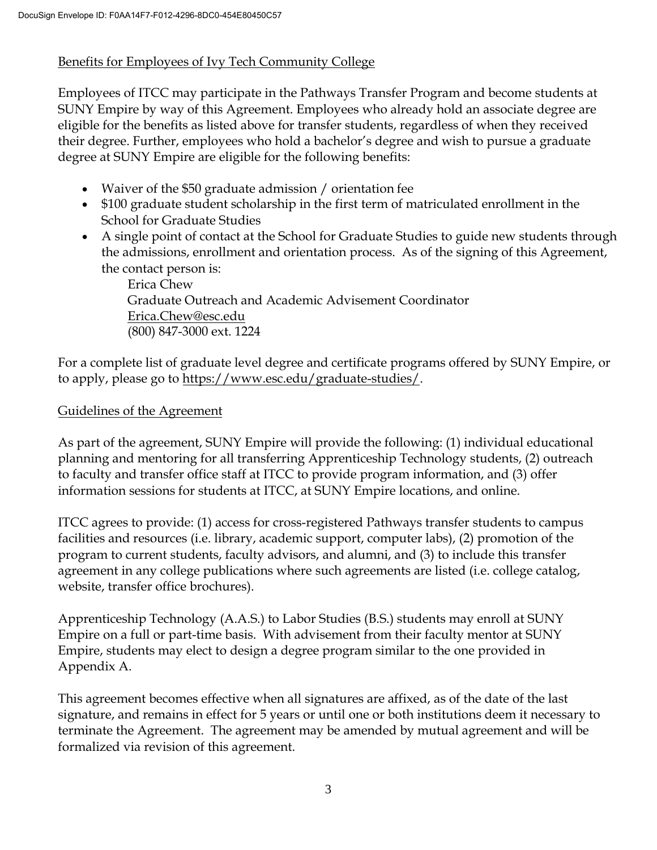# Benefits for Employees of Ivy Tech Community College

Employees of ITCC may participate in the Pathways Transfer Program and become students at SUNY Empire by way of this Agreement. Employees who already hold an associate degree are eligible for the benefits as listed above for transfer students, regardless of when they received their degree. Further, employees who hold a bachelor's degree and wish to pursue a graduate degree at SUNY Empire are eligible for the following benefits:

- Waiver of the \$50 graduate admission / orientation fee
- \$100 graduate student scholarship in the first term of matriculated enrollment in the School for Graduate Studies
- A single point of contact at the School for Graduate Studies to guide new students through the admissions, enrollment and orientation process. As of the signing of this Agreement, the contact person is:

Erica Chew Graduate Outreach and Academic Advisement Coordinator Erica.Chew@esc.edu (800) 847-3000 ext. 1224

For a complete list of graduate level degree and certificate programs offered by SUNY Empire, or to apply, please go to https:/[/www.esc.edu/graduate-studies/.](http://www.esc.edu/graduate-studies/) 

# Guidelines of the Agreement

As part of the agreement, SUNY Empire will provide the following: (1) individual educational planning and mentoring for all transferring Apprenticeship Technology students, (2) outreach to faculty and transfer office staff at ITCC to provide program information, and (3) offer information sessions for students at ITCC, at SUNY Empire locations, and online.

ITCC agrees to provide: (1) access for cross-registered Pathways transfer students to campus facilities and resources (i.e. library, academic support, computer labs), (2) promotion of the program to current students, faculty advisors, and alumni, and (3) to include this transfer agreement in any college publications where such agreements are listed (i.e. college catalog, website, transfer office brochures).

Apprenticeship Technology (A.A.S.) to Labor Studies (B.S.) students may enroll at SUNY Empire on a full or part-time basis. With advisement from their faculty mentor at SUNY Empire, students may elect to design a degree program similar to the one provided in Appendix A.

This agreement becomes effective when all signatures are affixed, as of the date of the last signature, and remains in effect for 5 years or until one or both institutions deem it necessary to terminate the Agreement. The agreement may be amended by mutual agreement and will be formalized via revision of this agreement.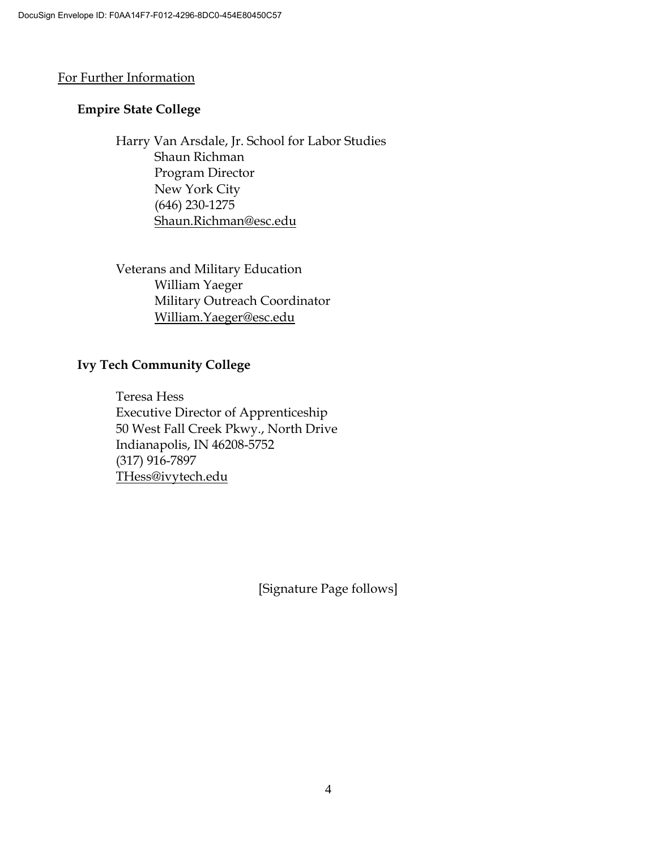### For Further Information

## **Empire State College**

Harry Van Arsdale, Jr. School for Labor Studies Shaun Richman Program Director New York City (646) 230-1275 Shaun.Richman@esc.edu

Veterans and Military Education William Yaeger Military Outreach Coordinator William.Yaeger@esc.edu

### **Ivy Tech Community College**

Teresa Hess Executive Director of Apprenticeship 50 West Fall Creek Pkwy., North Drive Indianapolis, IN 46208-5752 (317) 916-7897 THess@ivytech.edu

[Signature Page follows]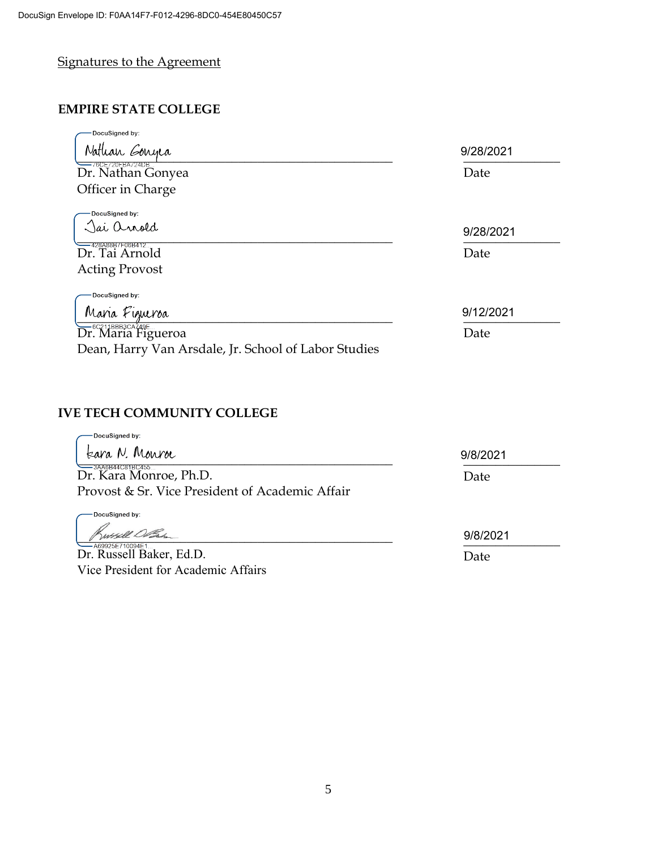# Signatures to the Agreement

# **EMPIRE STATE COLLEGE**

| DocuSigned by:                                              |           |
|-------------------------------------------------------------|-----------|
| Nathan Gonyea                                               | 9/28/2021 |
| $-76$ CE720FBA724DB<br>Dr. Nathan Gonyea                    | Date      |
| Officer in Charge                                           |           |
| DocuSigned by:                                              |           |
| )ai Orrold                                                  | 9/28/2021 |
| <sup>--</sup> <sup>428A88B7F06B412<br/>Dr. Tai Arnold</sup> | Date      |
| <b>Acting Provost</b>                                       |           |
| DocuSigned by:                                              |           |
| Maria Figueroa                                              | 9/12/2021 |
| <b>Dr.</b> Maria Figueroa                                   | Date      |
| Dean, Harry Van Arsdale, Jr. School of Labor Studies        |           |

### **IVE TECH COMMUNITY COLLEGE**

| DocuSigned by:<br>Eara N. Monroe                |          |
|-------------------------------------------------|----------|
|                                                 | 9/8/2021 |
| =3AA6B44C81BC455<br>Dr. Kara Monroe, Ph.D.      | Date     |
| Provost & Sr. Vice President of Academic Affair |          |
| DocuSigned by:                                  |          |
|                                                 | 9/8/2021 |
| 469925F710094F1_<br>Dr. Russell Baker, Ed.D.    | Date     |
| Vice President for Academic Affairs             |          |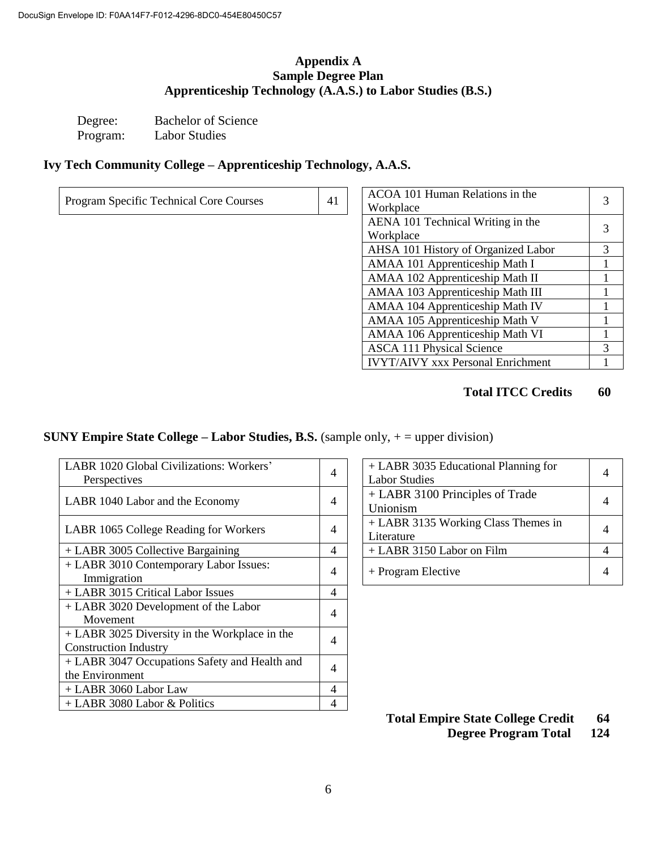### **Appendix A Sample Degree Plan Apprenticeship Technology (A.A.S.) to Labor Studies (B.S.)**

Degree: Bachelor of Science<br>Program: Labor Studies Labor Studies

### **Ivy Tech Community College – Apprenticeship Technology, A.A.S.**

| Program Specific Technical Core Courses |  | ACOA 101 Human Relations in the<br>Workplace                                                                                                                                                                                                                                                                                       |
|-----------------------------------------|--|------------------------------------------------------------------------------------------------------------------------------------------------------------------------------------------------------------------------------------------------------------------------------------------------------------------------------------|
|                                         |  | $\mathbf{1}$ $\mathbf{1}$ $\mathbf{1}$ $\mathbf{1}$ $\mathbf{1}$ $\mathbf{1}$ $\mathbf{1}$ $\mathbf{1}$ $\mathbf{1}$ $\mathbf{1}$ $\mathbf{1}$ $\mathbf{1}$ $\mathbf{1}$ $\mathbf{1}$ $\mathbf{1}$ $\mathbf{1}$ $\mathbf{1}$ $\mathbf{1}$ $\mathbf{1}$ $\mathbf{1}$ $\mathbf{1}$ $\mathbf{1}$ $\mathbf{1}$ $\mathbf{1}$ $\mathbf{$ |

| ACOA 101 Human Relations in the          |   |
|------------------------------------------|---|
| Workplace                                |   |
| AENA 101 Technical Writing in the        |   |
| Workplace                                | 3 |
| AHSA 101 History of Organized Labor      | 3 |
| AMAA 101 Apprenticeship Math I           | 1 |
| AMAA 102 Apprenticeship Math II          |   |
| AMAA 103 Apprenticeship Math III         |   |
| AMAA 104 Apprenticeship Math IV          |   |
| AMAA 105 Apprenticeship Math V           |   |
| AMAA 106 Apprenticeship Math VI          | 1 |
| <b>ASCA 111 Physical Science</b>         | 3 |
| <b>IVYT/AIVY xxx Personal Enrichment</b> |   |

### **Total ITCC Credits 60**

## **SUNY Empire State College – Labor Studies, B.S.** (sample only, + = upper division)

| LABR 1020 Global Civilizations: Workers'      | 4 | + LABR 3035 Educational Planning for | 4 |
|-----------------------------------------------|---|--------------------------------------|---|
| Perspectives                                  |   | <b>Labor Studies</b>                 |   |
|                                               | 4 | + LABR 3100 Principles of Trade      | 4 |
| LABR 1040 Labor and the Economy               |   | Unionism                             |   |
|                                               | 4 | + LABR 3135 Working Class Themes in  | 4 |
| LABR 1065 College Reading for Workers         |   | Literature                           |   |
| + LABR 3005 Collective Bargaining             | 4 | $+$ LABR 3150 Labor on Film          | 4 |
| + LABR 3010 Contemporary Labor Issues:        | 4 | + Program Elective                   | 4 |
| Immigration                                   |   |                                      |   |
| + LABR 3015 Critical Labor Issues             | 4 |                                      |   |
| + LABR 3020 Development of the Labor          | 4 |                                      |   |
| Movement                                      |   |                                      |   |
| + LABR 3025 Diversity in the Workplace in the | 4 |                                      |   |
| <b>Construction Industry</b>                  |   |                                      |   |
| + LABR 3047 Occupations Safety and Health and | 4 |                                      |   |
| the Environment                               |   |                                      |   |
| + LABR 3060 Labor Law                         | 4 |                                      |   |
| $+$ LABR 3080 Labor & Politics                | 4 |                                      |   |

| + LABR 3035 Educational Planning for<br><b>Labor Studies</b> |  |
|--------------------------------------------------------------|--|
| + LABR 3100 Principles of Trade<br>Unionism                  |  |
| + LABR 3135 Working Class Themes in<br>Literature            |  |
| + LABR 3150 Labor on Film                                    |  |
| + Program Elective                                           |  |

**Total Empire State College Credit 64**

**Degree Program Total 124**